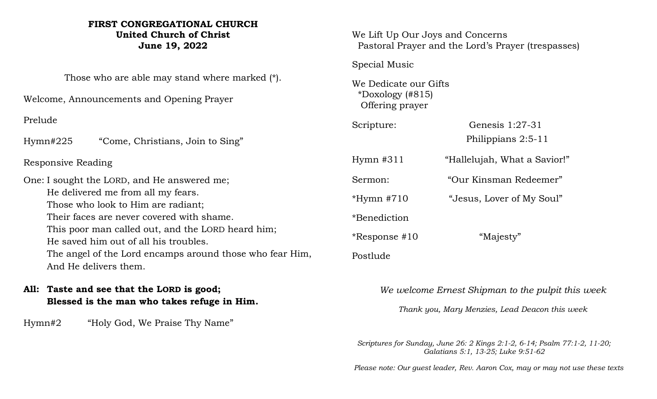# **FIRST CONGREGATIONAL CHURCH United Church of Christ June 19, 2022**

Those who are able may stand where marked (\*).

Welcome, Announcements and Opening Prayer

Prelude

Hymn#225 "Come, Christians, Join to Sing"

# Responsive Reading

One: I sought the LORD, and He answered me; He delivered me from all my fears. Those who look to Him are radiant; Their faces are never covered with shame. This poor man called out, and the LORD heard him; He saved him out of all his troubles. The angel of the Lord encamps around those who fear Him, And He delivers them.

# **All: Taste and see that the LORD is good; Blessed is the man who takes refuge in Him.**

Hymn#2 "Holy God, We Praise Thy Name"

We Lift Up Our Joys and Concerns Pastoral Prayer and the Lord's Prayer (trespasses)

Special Music

We Dedicate our Gifts \*Doxology (#815) Offering prayer

| Scripture: | Genesis $1:27-31$  |
|------------|--------------------|
|            | Philippians 2:5-11 |

Hymn #311 "Hallelujah, What a Savior!" Sermon: "Our Kinsman Redeemer"

\*Hymn #710 "Jesus, Lover of My Soul"

\*Benediction

\*Response #10 "Majesty" Postlude

*We welcome Ernest Shipman to the pulpit this week*

*Thank you, Mary Menzies, Lead Deacon this week*

*Scriptures for Sunday, June 26: 2 Kings 2:1-2, 6-14; Psalm 77:1-2, 11-20; Galatians 5:1, 13-25; Luke 9:51-62*

 *Please note: Our guest leader, Rev. Aaron Cox, may or may not use these texts*